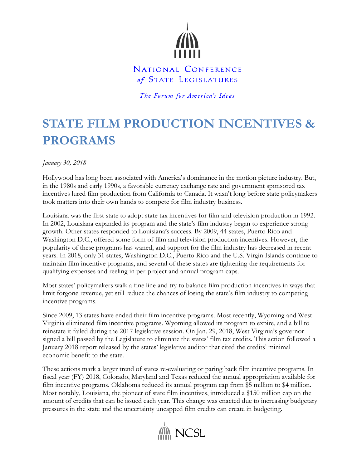

## NATIONAL CONFERENCE of STATE LEGISLATURES

The Forum for America's Ideas

## **STATE FILM PRODUCTION INCENTIVES & PROGRAMS**

*January 30, 2018*

Hollywood has long been associated with America's dominance in the motion picture industry. But, in the 1980s and early 1990s, a favorable currency exchange rate and government sponsored tax incentives lured film production from California to Canada. It wasn't long before state policymakers took matters into their own hands to compete for film industry business.

Louisiana was the first state to adopt state tax incentives for film and television production in 1992. In 2002, Louisiana expanded its program and the state's film industry began to experience strong growth. Other states responded to Louisiana's success. By 2009, 44 states, Puerto Rico and Washington D.C., offered some form of film and television production incentives. However, the popularity of these programs has waned, and support for the film industry has decreased in recent years. In 2018, only 31 states, Washington D.C., Puerto Rico and the U.S. Virgin Islands continue to maintain film incentive programs, and several of these states are tightening the requirements for qualifying expenses and reeling in per-project and annual program caps.

Most states' policymakers walk a fine line and try to balance film production incentives in ways that limit forgone revenue, yet still reduce the chances of losing the state's film industry to competing incentive programs.

Since 2009, 13 states have ended their film incentive programs. Most recently, Wyoming and West Virginia eliminated film incentive programs. Wyoming allowed its program to expire, and a bill to reinstate it failed during the 2017 legislative session. On Jan. 29, 2018, West Virginia's governor signed a bill passed by the Legislature to eliminate the states' film tax credits. This action followed a January 2018 report released by the states' legislative auditor that cited the credits' minimal economic benefit to the state.

These actions mark a larger trend of states re-evaluating or paring back film incentive programs. In fiscal year (FY) 2018, Colorado, Maryland and Texas reduced the annual appropriation available for film incentive programs. Oklahoma reduced its annual program cap from \$5 million to \$4 million. Most notably, Louisiana, the pioneer of state film incentives, introduced a \$150 million cap on the amount of credits that can be issued each year. This change was enacted due to increasing budgetary pressures in the state and the uncertainty uncapped film credits can create in budgeting.

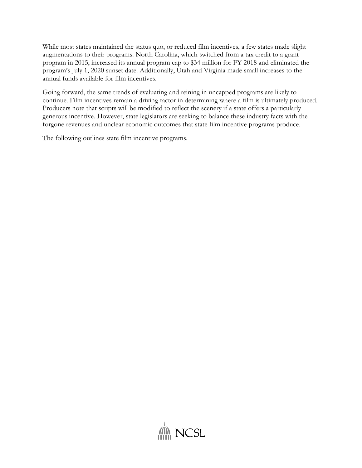While most states maintained the status quo, or reduced film incentives, a few states made slight augmentations to their programs. North Carolina, which switched from a tax credit to a grant program in 2015, increased its annual program cap to \$34 million for FY 2018 and eliminated the program's July 1, 2020 sunset date. Additionally, Utah and Virginia made small increases to the annual funds available for film incentives.

Going forward, the same trends of evaluating and reining in uncapped programs are likely to continue. Film incentives remain a driving factor in determining where a film is ultimately produced. Producers note that scripts will be modified to reflect the scenery if a state offers a particularly generous incentive. However, state legislators are seeking to balance these industry facts with the forgone revenues and unclear economic outcomes that state film incentive programs produce.

The following outlines state film incentive programs.

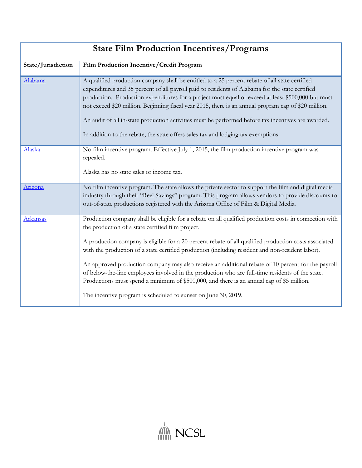| <b>State Film Production Incentives/Programs</b> |                                                                                                                                                                                                                                                                                                                                                                                                                                                                                                                                                                                                                                                                                                                                                   |
|--------------------------------------------------|---------------------------------------------------------------------------------------------------------------------------------------------------------------------------------------------------------------------------------------------------------------------------------------------------------------------------------------------------------------------------------------------------------------------------------------------------------------------------------------------------------------------------------------------------------------------------------------------------------------------------------------------------------------------------------------------------------------------------------------------------|
| State/Jurisdiction                               | Film Production Incentive/Credit Program                                                                                                                                                                                                                                                                                                                                                                                                                                                                                                                                                                                                                                                                                                          |
| Alabama                                          | A qualified production company shall be entitled to a 25 percent rebate of all state certified<br>expenditures and 35 percent of all payroll paid to residents of Alabama for the state certified<br>production. Production expenditures for a project must equal or exceed at least \$500,000 but must<br>not exceed \$20 million. Beginning fiscal year 2015, there is an annual program cap of \$20 million.<br>An audit of all in-state production activities must be performed before tax incentives are awarded.<br>In addition to the rebate, the state offers sales tax and lodging tax exemptions.                                                                                                                                       |
| Alaska                                           | No film incentive program. Effective July 1, 2015, the film production incentive program was<br>repealed.<br>Alaska has no state sales or income tax.                                                                                                                                                                                                                                                                                                                                                                                                                                                                                                                                                                                             |
| Arizona                                          | No film incentive program. The state allows the private sector to support the film and digital media<br>industry through their "Reel Savings" program. This program allows vendors to provide discounts to<br>out-of-state productions registered with the Arizona Office of Film & Digital Media.                                                                                                                                                                                                                                                                                                                                                                                                                                                |
| <b>Arkansas</b>                                  | Production company shall be eligible for a rebate on all qualified production costs in connection with<br>the production of a state certified film project.<br>A production company is eligible for a 20 percent rebate of all qualified production costs associated<br>with the production of a state certified production (including resident and non-resident labor).<br>An approved production company may also receive an additional rebate of 10 percent for the payroll<br>of below-the-line employees involved in the production who are full-time residents of the state.<br>Productions must spend a minimum of \$500,000, and there is an annual cap of \$5 million.<br>The incentive program is scheduled to sunset on June 30, 2019. |

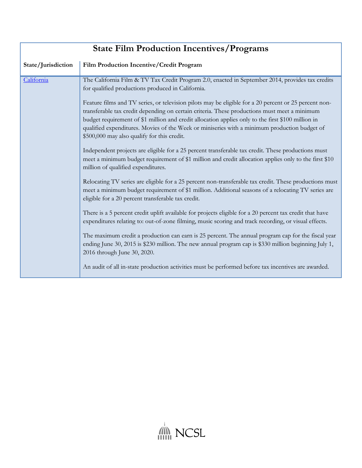| <b>State Film Production Incentives/Programs</b> |                                                                                                                                                                                                                                                                                                                                                                                                                                                            |
|--------------------------------------------------|------------------------------------------------------------------------------------------------------------------------------------------------------------------------------------------------------------------------------------------------------------------------------------------------------------------------------------------------------------------------------------------------------------------------------------------------------------|
| State/Jurisdiction                               | Film Production Incentive/Credit Program                                                                                                                                                                                                                                                                                                                                                                                                                   |
| California                                       | The California Film & TV Tax Credit Program 2.0, enacted in September 2014, provides tax credits<br>for qualified productions produced in California.                                                                                                                                                                                                                                                                                                      |
|                                                  | Feature films and TV series, or television pilots may be eligible for a 20 percent or 25 percent non-<br>transferable tax credit depending on certain criteria. These productions must meet a minimum<br>budget requirement of \$1 million and credit allocation applies only to the first \$100 million in<br>qualified expenditures. Movies of the Week or miniseries with a minimum production budget of<br>\$500,000 may also qualify for this credit. |
|                                                  | Independent projects are eligible for a 25 percent transferable tax credit. These productions must<br>meet a minimum budget requirement of \$1 million and credit allocation applies only to the first \$10<br>million of qualified expenditures.                                                                                                                                                                                                          |
|                                                  | Relocating TV series are eligible for a 25 percent non-transferable tax credit. These productions must<br>meet a minimum budget requirement of \$1 million. Additional seasons of a relocating TV series are<br>eligible for a 20 percent transferable tax credit.                                                                                                                                                                                         |
|                                                  | There is a 5 percent credit uplift available for projects eligible for a 20 percent tax credit that have<br>expenditures relating to: out-of-zone filming, music scoring and track recording, or visual effects.                                                                                                                                                                                                                                           |
|                                                  | The maximum credit a production can earn is 25 percent. The annual program cap for the fiscal year<br>ending June 30, 2015 is \$230 million. The new annual program cap is \$330 million beginning July 1,<br>2016 through June 30, 2020.                                                                                                                                                                                                                  |
|                                                  | An audit of all in-state production activities must be performed before tax incentives are awarded.                                                                                                                                                                                                                                                                                                                                                        |

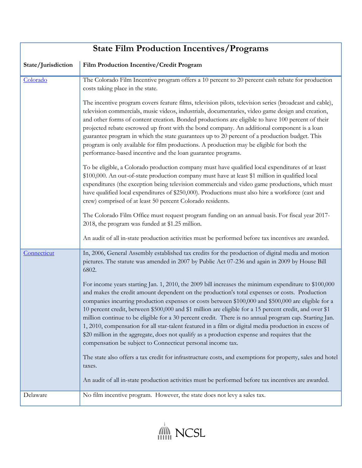| <b>State Film Production Incentives/Programs</b> |                                                                                                                                                                                                                                                                                                                                                                                                                                                                                                                                                                                                                                                                                                                                                                                                            |
|--------------------------------------------------|------------------------------------------------------------------------------------------------------------------------------------------------------------------------------------------------------------------------------------------------------------------------------------------------------------------------------------------------------------------------------------------------------------------------------------------------------------------------------------------------------------------------------------------------------------------------------------------------------------------------------------------------------------------------------------------------------------------------------------------------------------------------------------------------------------|
| State/Jurisdiction                               | Film Production Incentive/Credit Program                                                                                                                                                                                                                                                                                                                                                                                                                                                                                                                                                                                                                                                                                                                                                                   |
| Colorado                                         | The Colorado Film Incentive program offers a 10 percent to 20 percent cash rebate for production<br>costs taking place in the state.                                                                                                                                                                                                                                                                                                                                                                                                                                                                                                                                                                                                                                                                       |
|                                                  | The incentive program covers feature films, television pilots, television series (broadcast and cable),<br>television commercials, music videos, industrials, documentaries, video game design and creation,<br>and other forms of content creation. Bonded productions are eligible to have 100 percent of their<br>projected rebate escrowed up front with the bond company. An additional component is a loan<br>guarantee program in which the state guarantees up to 20 percent of a production budget. This<br>program is only available for film productions. A production may be eligible for both the<br>performance-based incentive and the loan guarantee programs.                                                                                                                             |
|                                                  | To be eligible, a Colorado production company must have qualified local expenditures of at least<br>\$100,000. An out-of-state production company must have at least \$1 million in qualified local<br>expenditures (the exception being television commercials and video game productions, which must<br>have qualified local expenditures of \$250,000). Productions must also hire a workforce (cast and<br>crew) comprised of at least 50 percent Colorado residents.                                                                                                                                                                                                                                                                                                                                  |
|                                                  | The Colorado Film Office must request program funding on an annual basis. For fiscal year 2017-<br>2018, the program was funded at \$1.25 million.<br>An audit of all in-state production activities must be performed before tax incentives are awarded.                                                                                                                                                                                                                                                                                                                                                                                                                                                                                                                                                  |
| Connecticut                                      | In, 2006, General Assembly established tax credits for the production of digital media and motion<br>pictures. The statute was amended in 2007 by Public Act 07-236 and again in 2009 by House Bill<br>6802.                                                                                                                                                                                                                                                                                                                                                                                                                                                                                                                                                                                               |
|                                                  | For income years starting Jan. 1, 2010, the 2009 bill increases the minimum expenditure to \$100,000<br>and makes the credit amount dependent on the production's total expenses or costs. Production<br>companies incurring production expenses or costs between \$100,000 and \$500,000 are eligible for a<br>10 percent credit, between \$500,000 and \$1 million are eligible for a 15 percent credit, and over \$1<br>million continue to be eligible for a 30 percent credit. There is no annual program cap. Starting Jan.<br>1, 2010, compensation for all star-talent featured in a film or digital media production in excess of<br>\$20 million in the aggregate, does not qualify as a production expense and requires that the<br>compensation be subject to Connecticut personal income tax. |
|                                                  | The state also offers a tax credit for infrastructure costs, and exemptions for property, sales and hotel<br>taxes.                                                                                                                                                                                                                                                                                                                                                                                                                                                                                                                                                                                                                                                                                        |
|                                                  | An audit of all in-state production activities must be performed before tax incentives are awarded.                                                                                                                                                                                                                                                                                                                                                                                                                                                                                                                                                                                                                                                                                                        |
| Delaware                                         | No film incentive program. However, the state does not levy a sales tax.                                                                                                                                                                                                                                                                                                                                                                                                                                                                                                                                                                                                                                                                                                                                   |

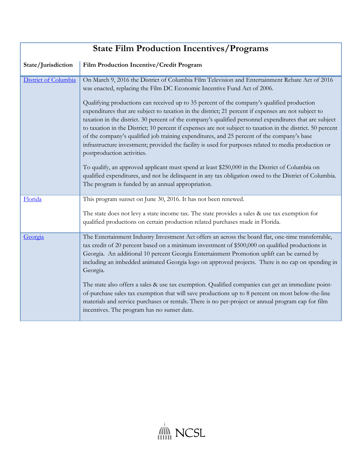| <b>State Film Production Incentives/Programs</b> |                                                                                                                                                                                                                                                                                                                                                                                                                                                                                                                                                                                                                                                                                                                                                                                                                                                                                                                                                                                                                                                                                                               |
|--------------------------------------------------|---------------------------------------------------------------------------------------------------------------------------------------------------------------------------------------------------------------------------------------------------------------------------------------------------------------------------------------------------------------------------------------------------------------------------------------------------------------------------------------------------------------------------------------------------------------------------------------------------------------------------------------------------------------------------------------------------------------------------------------------------------------------------------------------------------------------------------------------------------------------------------------------------------------------------------------------------------------------------------------------------------------------------------------------------------------------------------------------------------------|
| State/Jurisdiction                               | Film Production Incentive/Credit Program                                                                                                                                                                                                                                                                                                                                                                                                                                                                                                                                                                                                                                                                                                                                                                                                                                                                                                                                                                                                                                                                      |
| District of Columbia                             | On March 9, 2016 the District of Columbia Film Television and Entertainment Rebate Act of 2016<br>was enacted, replacing the Film DC Economic Incentive Fund Act of 2006.<br>Qualifying productions can received up to 35 percent of the company's qualified production<br>expenditures that are subject to taxation in the district; 21 percent if expenses are not subject to<br>taxation in the district. 30 percent of the company's qualified personnel expenditures that are subject<br>to taxation in the District; 10 percent if expenses are not subject to taxation in the district. 50 percent<br>of the company's qualified job training expenditures, and 25 percent of the company's base<br>infrastructure investment; provided the facility is used for purposes related to media production or<br>postproduction activities.<br>To qualify, an approved applicant must spend at least \$250,000 in the District of Columbia on<br>qualified expenditures, and not be delinquent in any tax obligation owed to the District of Columbia.<br>The program is funded by an annual appropriation. |
| Florida                                          | This program sunset on June 30, 2016. It has not been renewed.<br>The state does not levy a state income tax. The state provides a sales & use tax exemption for<br>qualified productions on certain production related purchases made in Florida.                                                                                                                                                                                                                                                                                                                                                                                                                                                                                                                                                                                                                                                                                                                                                                                                                                                            |
| Georgia                                          | The Entertainment Industry Investment Act offers an across the board flat, one-time transferrable,<br>tax credit of 20 percent based on a minimum investment of \$500,000 on qualified productions in<br>Georgia. An additional 10 percent Georgia Entertainment Promotion uplift can be earned by<br>including an imbedded animated Georgia logo on approved projects. There is no cap on spending in<br>Georgia.<br>The state also offers a sales & use tax exemption. Qualified companies can get an immediate point-<br>of-purchase sales tax exemption that will save productions up to 8 percent on most below-the-line<br>materials and service purchases or rentals. There is no per-project or annual program cap for film<br>incentives. The program has no sunset date.                                                                                                                                                                                                                                                                                                                            |

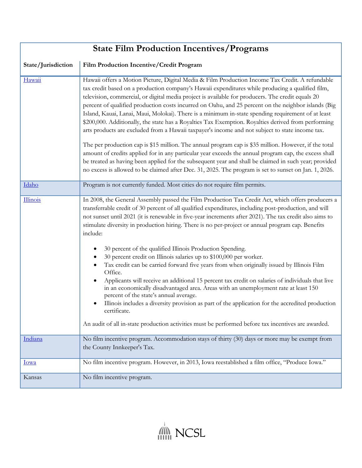| <b>State Film Production Incentives/Programs</b> |                                                                                                                                                                                                                                                                                                                                                                                                                                                                                                                                                                                                                                                                                                                                                                                                                                                                                                                                                                                                                                                                                                                                                                     |
|--------------------------------------------------|---------------------------------------------------------------------------------------------------------------------------------------------------------------------------------------------------------------------------------------------------------------------------------------------------------------------------------------------------------------------------------------------------------------------------------------------------------------------------------------------------------------------------------------------------------------------------------------------------------------------------------------------------------------------------------------------------------------------------------------------------------------------------------------------------------------------------------------------------------------------------------------------------------------------------------------------------------------------------------------------------------------------------------------------------------------------------------------------------------------------------------------------------------------------|
| State/Jurisdiction                               | Film Production Incentive/Credit Program                                                                                                                                                                                                                                                                                                                                                                                                                                                                                                                                                                                                                                                                                                                                                                                                                                                                                                                                                                                                                                                                                                                            |
| Hawaii                                           | Hawaii offers a Motion Picture, Digital Media & Film Production Income Tax Credit. A refundable<br>tax credit based on a production company's Hawaii expenditures while producing a qualified film,<br>television, commercial, or digital media project is available for producers. The credit equals 20<br>percent of qualified production costs incurred on Oahu, and 25 percent on the neighbor islands (Big<br>Island, Kauai, Lanai, Maui, Molokai). There is a minimum in-state spending requirement of at least<br>\$200,000. Additionally, the state has a Royalties Tax Exemption. Royalties derived from performing<br>arts products are excluded from a Hawaii taxpayer's income and not subject to state income tax.<br>The per production cap is \$15 million. The annual program cap is \$35 million. However, if the total<br>amount of credits applied for in any particular year exceeds the annual program cap, the excess shall<br>be treated as having been applied for the subsequent year and shall be claimed in such year; provided<br>no excess is allowed to be claimed after Dec. 31, 2025. The program is set to sunset on Jan. 1, 2026. |
| Idaho                                            | Program is not currently funded. Most cities do not require film permits.                                                                                                                                                                                                                                                                                                                                                                                                                                                                                                                                                                                                                                                                                                                                                                                                                                                                                                                                                                                                                                                                                           |
| <b>Illinois</b>                                  | In 2008, the General Assembly passed the Film Production Tax Credit Act, which offers producers a<br>transferrable credit of 30 percent of all qualified expenditures, including post-production, and will<br>not sunset until 2021 (it is renewable in five-year increments after 2021). The tax credit also aims to<br>stimulate diversity in production hiring. There is no per-project or annual program cap. Benefits<br>include:<br>30 percent of the qualified Illinois Production Spending.<br>30 percent credit on Illinois salaries up to \$100,000 per worker.<br>Tax credit can be carried forward five years from when originally issued by Illinois Film<br>Office.<br>Applicants will receive an additional 15 percent tax credit on salaries of individuals that live<br>in an economically disadvantaged area. Areas with an unemployment rate at least 150<br>percent of the state's annual average.<br>Illinois includes a diversity provision as part of the application for the accredited production<br>certificate.<br>An audit of all in-state production activities must be performed before tax incentives are awarded.                   |
| Indiana                                          | No film incentive program. Accommodation stays of thirty (30) days or more may be exempt from<br>the County Innkeeper's Tax.                                                                                                                                                                                                                                                                                                                                                                                                                                                                                                                                                                                                                                                                                                                                                                                                                                                                                                                                                                                                                                        |
| <u>Iowa</u>                                      | No film incentive program. However, in 2013, Iowa reestablished a film office, "Produce Iowa."                                                                                                                                                                                                                                                                                                                                                                                                                                                                                                                                                                                                                                                                                                                                                                                                                                                                                                                                                                                                                                                                      |
| Kansas                                           | No film incentive program.                                                                                                                                                                                                                                                                                                                                                                                                                                                                                                                                                                                                                                                                                                                                                                                                                                                                                                                                                                                                                                                                                                                                          |

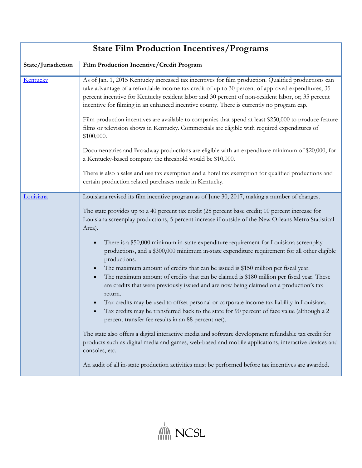| <b>State Film Production Incentives/Programs</b> |                                                                                                                                                                                                                                                                                                                                                                                                                                                                                                                                       |
|--------------------------------------------------|---------------------------------------------------------------------------------------------------------------------------------------------------------------------------------------------------------------------------------------------------------------------------------------------------------------------------------------------------------------------------------------------------------------------------------------------------------------------------------------------------------------------------------------|
| State/Jurisdiction                               | Film Production Incentive/Credit Program                                                                                                                                                                                                                                                                                                                                                                                                                                                                                              |
| Kentucky                                         | As of Jan. 1, 2015 Kentucky increased tax incentives for film production. Qualified productions can<br>take advantage of a refundable income tax credit of up to 30 percent of approved expenditures, 35<br>percent incentive for Kentucky resident labor and 30 percent of non-resident labor, or; 35 percent<br>incentive for filming in an enhanced incentive county. There is currently no program cap.                                                                                                                           |
|                                                  | Film production incentives are available to companies that spend at least \$250,000 to produce feature<br>films or television shows in Kentucky. Commercials are eligible with required expenditures of<br>\$100,000.                                                                                                                                                                                                                                                                                                                 |
|                                                  | Documentaries and Broadway productions are eligible with an expenditure minimum of \$20,000, for<br>a Kentucky-based company the threshold would be \$10,000.                                                                                                                                                                                                                                                                                                                                                                         |
|                                                  | There is also a sales and use tax exemption and a hotel tax exemption for qualified productions and<br>certain production related purchases made in Kentucky.                                                                                                                                                                                                                                                                                                                                                                         |
| Louisiana                                        | Louisiana revised its film incentive program as of June 30, 2017, making a number of changes.                                                                                                                                                                                                                                                                                                                                                                                                                                         |
|                                                  | The state provides up to a 40 percent tax credit (25 percent base credit; 10 percent increase for<br>Louisiana screenplay productions, 5 percent increase if outside of the New Orleans Metro Statistical<br>Area).                                                                                                                                                                                                                                                                                                                   |
|                                                  | There is a \$50,000 minimum in-state expenditure requirement for Louisiana screenplay<br>$\bullet$<br>productions, and a \$300,000 minimum in-state expenditure requirement for all other eligible<br>productions.<br>The maximum amount of credits that can be issued is \$150 million per fiscal year.<br>$\bullet$<br>The maximum amount of credits that can be claimed is \$180 million per fiscal year. These<br>$\bullet$<br>are credits that were previously issued and are now being claimed on a production's tax<br>return. |
|                                                  | Tax credits may be used to offset personal or corporate income tax liability in Louisiana.<br>Tax credits may be transferred back to the state for 90 percent of face value (although a 2<br>percent transfer fee results in an 88 percent net).                                                                                                                                                                                                                                                                                      |
|                                                  | The state also offers a digital interactive media and software development refundable tax credit for<br>products such as digital media and games, web-based and mobile applications, interactive devices and<br>consoles, etc.                                                                                                                                                                                                                                                                                                        |
|                                                  | An audit of all in-state production activities must be performed before tax incentives are awarded.                                                                                                                                                                                                                                                                                                                                                                                                                                   |

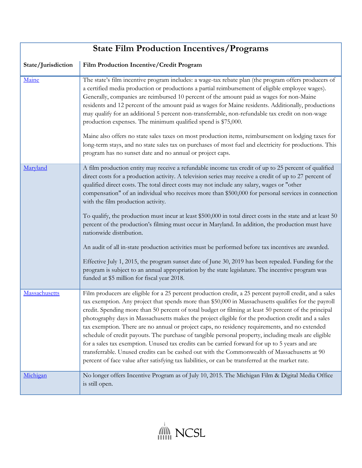| <b>State Film Production Incentives/Programs</b> |                                                                                                                                                                                                                                                                                                                                                                                                                                                                                                                                                                                                                                                                                                                                                                                                                                                                                                                                                  |
|--------------------------------------------------|--------------------------------------------------------------------------------------------------------------------------------------------------------------------------------------------------------------------------------------------------------------------------------------------------------------------------------------------------------------------------------------------------------------------------------------------------------------------------------------------------------------------------------------------------------------------------------------------------------------------------------------------------------------------------------------------------------------------------------------------------------------------------------------------------------------------------------------------------------------------------------------------------------------------------------------------------|
| State/Jurisdiction                               | Film Production Incentive/Credit Program                                                                                                                                                                                                                                                                                                                                                                                                                                                                                                                                                                                                                                                                                                                                                                                                                                                                                                         |
| Maine                                            | The state's film incentive program includes: a wage-tax rebate plan (the program offers producers of<br>a certified media production or productions a partial reimbursement of eligible employee wages).<br>Generally, companies are reimbursed 10 percent of the amount paid as wages for non-Maine<br>residents and 12 percent of the amount paid as wages for Maine residents. Additionally, productions<br>may qualify for an additional 5 percent non-transferrable, non-refundable tax credit on non-wage<br>production expenses. The minimum qualified spend is \$75,000.<br>Maine also offers no state sales taxes on most production items, reimbursement on lodging taxes for<br>long-term stays, and no state sales tax on purchases of most fuel and electricity for productions. This                                                                                                                                               |
|                                                  | program has no sunset date and no annual or project caps.                                                                                                                                                                                                                                                                                                                                                                                                                                                                                                                                                                                                                                                                                                                                                                                                                                                                                        |
| Maryland                                         | A film production entity may receive a refundable income tax credit of up to 25 percent of qualified<br>direct costs for a production activity. A television series may receive a credit of up to 27 percent of<br>qualified direct costs. The total direct costs may not include any salary, wages or "other<br>compensation" of an individual who receives more than \$500,000 for personal services in connection<br>with the film production activity.<br>To qualify, the production must incur at least \$500,000 in total direct costs in the state and at least 50<br>percent of the production's filming must occur in Maryland. In addition, the production must have<br>nationwide distribution.<br>An audit of all in-state production activities must be performed before tax incentives are awarded.<br>Effective July 1, 2015, the program sunset date of June 30, 2019 has been repealed. Funding for the                         |
|                                                  | program is subject to an annual appropriation by the state legislature. The incentive program was<br>funded at \$5 million for fiscal year 2018.                                                                                                                                                                                                                                                                                                                                                                                                                                                                                                                                                                                                                                                                                                                                                                                                 |
| Massachusetts                                    | Film producers are eligible for a 25 percent production credit, a 25 percent payroll credit, and a sales<br>tax exemption. Any project that spends more than \$50,000 in Massachusetts qualifies for the payroll<br>credit. Spending more than 50 percent of total budget or filming at least 50 percent of the principal<br>photography days in Massachusetts makes the project eligible for the production credit and a sales<br>tax exemption. There are no annual or project caps, no residency requirements, and no extended<br>schedule of credit payouts. The purchase of tangible personal property, including meals are eligible<br>for a sales tax exemption. Unused tax credits can be carried forward for up to 5 years and are<br>transferrable. Unused credits can be cashed out with the Commonwealth of Massachusetts at 90<br>percent of face value after satisfying tax liabilities, or can be transferred at the market rate. |
| Michigan                                         | No longer offers Incentive Program as of July 10, 2015. The Michigan Film & Digital Media Office<br>is still open.                                                                                                                                                                                                                                                                                                                                                                                                                                                                                                                                                                                                                                                                                                                                                                                                                               |

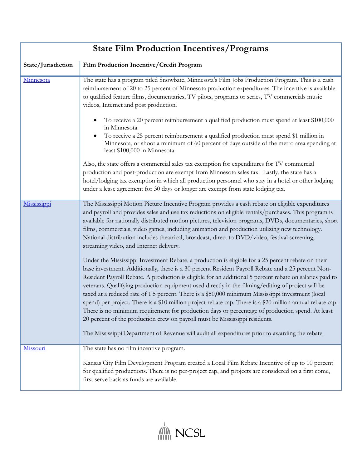| <b>State Film Production Incentives/Programs</b> |                                                                                                                                                                                                                                                                                                                                                                                                                                                                                                                                                                                                                                                                                                                                                                                                                                |
|--------------------------------------------------|--------------------------------------------------------------------------------------------------------------------------------------------------------------------------------------------------------------------------------------------------------------------------------------------------------------------------------------------------------------------------------------------------------------------------------------------------------------------------------------------------------------------------------------------------------------------------------------------------------------------------------------------------------------------------------------------------------------------------------------------------------------------------------------------------------------------------------|
| State/Jurisdiction                               | Film Production Incentive/Credit Program                                                                                                                                                                                                                                                                                                                                                                                                                                                                                                                                                                                                                                                                                                                                                                                       |
| Minnesota                                        | The state has a program titled Snowbate, Minnesota's Film Jobs Production Program. This is a cash<br>reimbursement of 20 to 25 percent of Minnesota production expenditures. The incentive is available<br>to qualified feature films, documentaries, TV pilots, programs or series, TV commercials music<br>videos, Internet and post production.                                                                                                                                                                                                                                                                                                                                                                                                                                                                             |
|                                                  | To receive a 20 percent reimbursement a qualified production must spend at least \$100,000<br>in Minnesota.<br>To receive a 25 percent reimbursement a qualified production must spend \$1 million in<br>$\bullet$<br>Minnesota, or shoot a minimum of 60 percent of days outside of the metro area spending at<br>least \$100,000 in Minnesota.                                                                                                                                                                                                                                                                                                                                                                                                                                                                               |
|                                                  | Also, the state offers a commercial sales tax exemption for expenditures for TV commercial<br>production and post-production are exempt from Minnesota sales tax. Lastly, the state has a<br>hotel/lodging tax exemption in which all production personnel who stay in a hotel or other lodging<br>under a lease agreement for 30 days or longer are exempt from state lodging tax.                                                                                                                                                                                                                                                                                                                                                                                                                                            |
| Mississippi                                      | The Mississippi Motion Picture Incentive Program provides a cash rebate on eligible expenditures<br>and payroll and provides sales and use tax reductions on eligible rentals/purchases. This program is<br>available for nationally distributed motion pictures, television programs, DVDs, documentaries, short<br>films, commercials, video games, including animation and production utilizing new technology.<br>National distribution includes theatrical, broadcast, direct to DVD/video, festival screening,<br>streaming video, and Internet delivery.                                                                                                                                                                                                                                                                |
|                                                  | Under the Mississippi Investment Rebate, a production is eligible for a 25 percent rebate on their<br>base investment. Additionally, there is a 30 percent Resident Payroll Rebate and a 25 percent Non-<br>Resident Payroll Rebate. A production is eligible for an additional 5 percent rebate on salaries paid to<br>veterans. Qualifying production equipment used directly in the filming/editing of project will be<br>taxed at a reduced rate of 1.5 percent. There is a \$50,000 minimum Mississippi investment (local<br>spend) per project. There is a \$10 million project rebate cap. There is a \$20 million annual rebate cap.<br>There is no minimum requirement for production days or percentage of production spend. At least<br>20 percent of the production crew on payroll must be Mississippi residents. |
|                                                  | The Mississippi Department of Revenue will audit all expenditures prior to awarding the rebate.                                                                                                                                                                                                                                                                                                                                                                                                                                                                                                                                                                                                                                                                                                                                |
| Missouri                                         | The state has no film incentive program.<br>Kansas City Film Development Program created a Local Film Rebate Incentive of up to 10 percent                                                                                                                                                                                                                                                                                                                                                                                                                                                                                                                                                                                                                                                                                     |
|                                                  | for qualified productions. There is no per-project cap, and projects are considered on a first come,<br>first serve basis as funds are available.                                                                                                                                                                                                                                                                                                                                                                                                                                                                                                                                                                                                                                                                              |

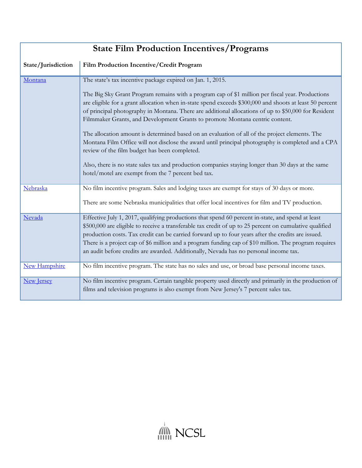| <b>State Film Production Incentives/Programs</b> |                                                                                                                                                                                                                                                                                                                                                                                                                                                                                                                      |
|--------------------------------------------------|----------------------------------------------------------------------------------------------------------------------------------------------------------------------------------------------------------------------------------------------------------------------------------------------------------------------------------------------------------------------------------------------------------------------------------------------------------------------------------------------------------------------|
| State/Jurisdiction                               | Film Production Incentive/Credit Program                                                                                                                                                                                                                                                                                                                                                                                                                                                                             |
| Montana                                          | The state's tax incentive package expired on Jan. 1, 2015.                                                                                                                                                                                                                                                                                                                                                                                                                                                           |
|                                                  | The Big Sky Grant Program remains with a program cap of \$1 million per fiscal year. Productions<br>are eligible for a grant allocation when in-state spend exceeds \$300,000 and shoots at least 50 percent<br>of principal photography in Montana. There are additional allocations of up to \$50,000 for Resident<br>Filmmaker Grants, and Development Grants to promote Montana centric content.                                                                                                                 |
|                                                  | The allocation amount is determined based on an evaluation of all of the project elements. The<br>Montana Film Office will not disclose the award until principal photography is completed and a CPA<br>review of the film budget has been completed.                                                                                                                                                                                                                                                                |
|                                                  | Also, there is no state sales tax and production companies staying longer than 30 days at the same<br>hotel/motel are exempt from the 7 percent bed tax.                                                                                                                                                                                                                                                                                                                                                             |
| Nebraska                                         | No film incentive program. Sales and lodging taxes are exempt for stays of 30 days or more.                                                                                                                                                                                                                                                                                                                                                                                                                          |
|                                                  | There are some Nebraska municipalities that offer local incentives for film and TV production.                                                                                                                                                                                                                                                                                                                                                                                                                       |
| Nevada                                           | Effective July 1, 2017, qualifying productions that spend 60 percent in-state, and spend at least<br>\$500,000 are eligible to receive a transferable tax credit of up to 25 percent on cumulative qualified<br>production costs. Tax credit can be carried forward up to four years after the credits are issued.<br>There is a project cap of \$6 million and a program funding cap of \$10 million. The program requires<br>an audit before credits are awarded. Additionally, Nevada has no personal income tax. |
| <b>New Hampshire</b>                             | No film incentive program. The state has no sales and use, or broad base personal income taxes.                                                                                                                                                                                                                                                                                                                                                                                                                      |
| <b>New Jersey</b>                                | No film incentive program. Certain tangible property used directly and primarily in the production of<br>films and television programs is also exempt from New Jersey's 7 percent sales tax.                                                                                                                                                                                                                                                                                                                         |

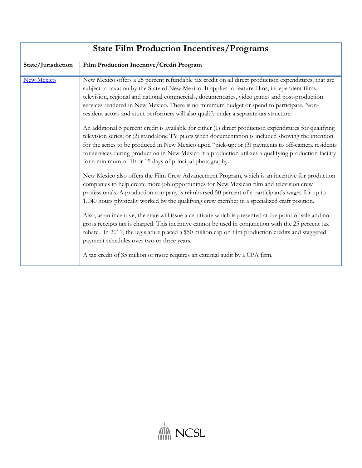| <b>State Film Production Incentives/Programs</b> |                                                                                                                                                                                                                                                                                                                                                                                                                                                                                                                                                                                                                                                                                                                                                                                                                          |
|--------------------------------------------------|--------------------------------------------------------------------------------------------------------------------------------------------------------------------------------------------------------------------------------------------------------------------------------------------------------------------------------------------------------------------------------------------------------------------------------------------------------------------------------------------------------------------------------------------------------------------------------------------------------------------------------------------------------------------------------------------------------------------------------------------------------------------------------------------------------------------------|
| State/Jurisdiction                               | Film Production Incentive/Credit Program                                                                                                                                                                                                                                                                                                                                                                                                                                                                                                                                                                                                                                                                                                                                                                                 |
| <b>New Mexico</b>                                | New Mexico offers a 25 percent refundable tax credit on all direct production expenditures, that are<br>subject to taxation by the State of New Mexico. It applies to feature films, independent films,<br>television, regional and national commercials, documentaries, video games and post-production<br>services rendered in New Mexico. There is no minimum budget or spend to participate. Non-<br>resident actors and stunt performers will also qualify under a separate tax structure.<br>An additional 5 percent credit is available for either (1) direct production expenditures for qualifying<br>television series; or (2) standalone TV pilots when documentation is included showing the intention<br>for the series to be produced in New Mexico upon "pick-up; or (3) payments to off-camera residents |
|                                                  | for services during production in New Mexico if a production utilizes a qualifying production facility<br>for a minimum of 10 or 15 days of principal photography.                                                                                                                                                                                                                                                                                                                                                                                                                                                                                                                                                                                                                                                       |
|                                                  | New Mexico also offers the Film Crew Advancement Program, which is an incentive for production<br>companies to help create more job opportunities for New Mexican film and television crew<br>professionals. A production company is reimbursed 50 percent of a participant's wages for up to<br>1,040 hours physically worked by the qualifying crew member in a specialized craft position.                                                                                                                                                                                                                                                                                                                                                                                                                            |
|                                                  | Also, as an incentive, the state will issue a certificate which is presented at the point of sale and no<br>gross receipts tax is charged. This incentive cannot be used in conjunction with the 25 percent tax<br>rebate. In 2011, the legislature placed a \$50 million cap on film production credits and staggered<br>payment schedules over two or three years.                                                                                                                                                                                                                                                                                                                                                                                                                                                     |
|                                                  | A tax credit of \$5 million or more requires an external audit by a CPA firm.                                                                                                                                                                                                                                                                                                                                                                                                                                                                                                                                                                                                                                                                                                                                            |

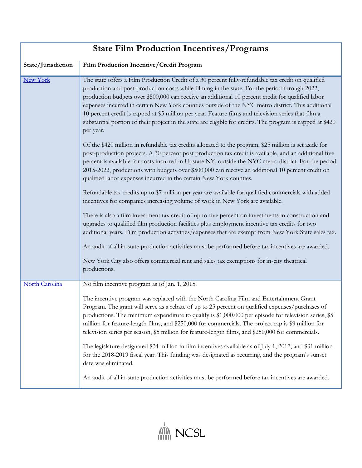| <b>State Film Production Incentives/Programs</b> |                                                                                                                                                                                                                                                                                                                                                                                                                                                                                                                                                                                                                                                  |
|--------------------------------------------------|--------------------------------------------------------------------------------------------------------------------------------------------------------------------------------------------------------------------------------------------------------------------------------------------------------------------------------------------------------------------------------------------------------------------------------------------------------------------------------------------------------------------------------------------------------------------------------------------------------------------------------------------------|
| State/Jurisdiction                               | Film Production Incentive/Credit Program                                                                                                                                                                                                                                                                                                                                                                                                                                                                                                                                                                                                         |
| <b>New York</b>                                  | The state offers a Film Production Credit of a 30 percent fully-refundable tax credit on qualified<br>production and post-production costs while filming in the state. For the period through 2022,<br>production budgets over \$500,000 can receive an additional 10 percent credit for qualified labor<br>expenses incurred in certain New York counties outside of the NYC metro district. This additional<br>10 percent credit is capped at \$5 million per year. Feature films and television series that film a<br>substantial portion of their project in the state are eligible for credits. The program is capped at \$420<br>per year. |
|                                                  | Of the \$420 million in refundable tax credits allocated to the program, \$25 million is set aside for<br>post-production projects. A 30 percent post production tax credit is available, and an additional five<br>percent is available for costs incurred in Upstate NY, outside the NYC metro district. For the period<br>2015-2022, productions with budgets over \$500,000 can receive an additional 10 percent credit on<br>qualified labor expenses incurred in the certain New York counties.                                                                                                                                            |
|                                                  | Refundable tax credits up to \$7 million per year are available for qualified commercials with added<br>incentives for companies increasing volume of work in New York are available.                                                                                                                                                                                                                                                                                                                                                                                                                                                            |
|                                                  | There is also a film investment tax credit of up to five percent on investments in construction and<br>upgrades to qualified film production facilities plus employment incentive tax credits for two<br>additional years. Film production activities/expenses that are exempt from New York State sales tax.                                                                                                                                                                                                                                                                                                                                    |
|                                                  | An audit of all in-state production activities must be performed before tax incentives are awarded.                                                                                                                                                                                                                                                                                                                                                                                                                                                                                                                                              |
|                                                  | New York City also offers commercial rent and sales tax exemptions for in-city theatrical<br>productions.                                                                                                                                                                                                                                                                                                                                                                                                                                                                                                                                        |
| <b>North Carolina</b>                            | No film incentive program as of Jan. 1, 2015.                                                                                                                                                                                                                                                                                                                                                                                                                                                                                                                                                                                                    |
|                                                  | The incentive program was replaced with the North Carolina Film and Entertainment Grant<br>Program. The grant will serve as a rebate of up to 25 percent on qualified expenses/purchases of<br>productions. The minimum expenditure to qualify is \$1,000,000 per episode for television series, \$5<br>million for feature-length films, and \$250,000 for commercials. The project cap is \$9 million for<br>television series per season, \$5 million for feature-length films, and \$250,000 for commercials.                                                                                                                                |
|                                                  | The legislature designated \$34 million in film incentives available as of July 1, 2017, and \$31 million<br>for the 2018-2019 fiscal year. This funding was designated as recurring, and the program's sunset<br>date was eliminated.                                                                                                                                                                                                                                                                                                                                                                                                           |
|                                                  | An audit of all in-state production activities must be performed before tax incentives are awarded.                                                                                                                                                                                                                                                                                                                                                                                                                                                                                                                                              |

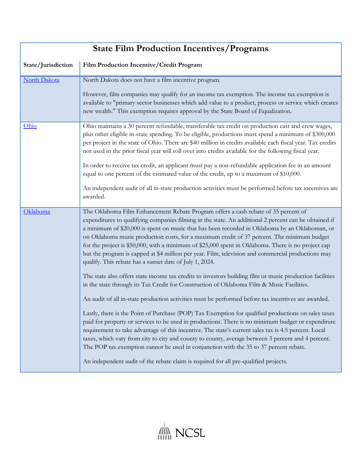| <b>State Film Production Incentives/Programs</b> |                                                                                                                                                                                                                                                                                                                                                                                                                                                                                                                                                                                                                                                                                                                                                                                                                                                                                                                                                                                                                                                                                                                                                                                                                                                                                                                                                                                                                                                                                                                                                                                                |
|--------------------------------------------------|------------------------------------------------------------------------------------------------------------------------------------------------------------------------------------------------------------------------------------------------------------------------------------------------------------------------------------------------------------------------------------------------------------------------------------------------------------------------------------------------------------------------------------------------------------------------------------------------------------------------------------------------------------------------------------------------------------------------------------------------------------------------------------------------------------------------------------------------------------------------------------------------------------------------------------------------------------------------------------------------------------------------------------------------------------------------------------------------------------------------------------------------------------------------------------------------------------------------------------------------------------------------------------------------------------------------------------------------------------------------------------------------------------------------------------------------------------------------------------------------------------------------------------------------------------------------------------------------|
| State/Jurisdiction                               | Film Production Incentive/Credit Program                                                                                                                                                                                                                                                                                                                                                                                                                                                                                                                                                                                                                                                                                                                                                                                                                                                                                                                                                                                                                                                                                                                                                                                                                                                                                                                                                                                                                                                                                                                                                       |
| North Dakota                                     | North Dakota does not have a film incentive program.<br>However, film companies may qualify for an income tax exemption. The income tax exemption is<br>available to "primary sector businesses which add value to a product, process or service which creates<br>new wealth." This exemption requires approval by the State Board of Equalization.                                                                                                                                                                                                                                                                                                                                                                                                                                                                                                                                                                                                                                                                                                                                                                                                                                                                                                                                                                                                                                                                                                                                                                                                                                            |
| Ohio                                             | Ohio maintains a 30 percent refundable, transferable tax credit on production cast and crew wages,<br>plus other eligible in-state spending. To be eligible, productions must spend a minimum of \$300,000<br>per project in the state of Ohio. There are \$40 million in credits available each fiscal year. Tax credits<br>not used in the prior fiscal year will roll over into credits available for the following fiscal year.<br>In order to receive tax credit, an applicant must pay a non-refundable application fee in an amount<br>equal to one percent of the estimated value of the credit, up to a maximum of \$10,000.<br>An independent audit of all in-state production activities must be performed before tax incentives are<br>awarded.                                                                                                                                                                                                                                                                                                                                                                                                                                                                                                                                                                                                                                                                                                                                                                                                                                    |
| Oklahoma                                         | The Oklahoma Film Enhancement Rebate Program offers a cash rebate of 35 percent of<br>expenditures to qualifying companies filming in the state. An additional 2 percent can be obtained if<br>a minimum of \$20,000 is spent on music that has been recorded in Oklahoma by an Oklahoman, or<br>on Oklahoma music production costs, for a maximum credit of 37 percent. The minimum budget<br>for the project is \$50,000, with a minimum of \$25,000 spent in Oklahoma. There is no project cap<br>but the program is capped at \$4 million per year. Film, television and commercial productions may<br>qualify. This rebate has a sunset date of July 1, 2024.<br>The state also offers state income tax credits to investors building film or music production facilities<br>in the state through its Tax Credit for Construction of Oklahoma Film & Music Facilities.<br>An audit of all in-state production activities must be performed before tax incentives are awarded.<br>Lastly, there is the Point of Purchase (POP) Tax Exemption for qualified productions on sales taxes<br>paid for property or services to be used in productions. There is no minimum budget or expenditure<br>requirement to take advantage of this incentive. The state's current sales tax is 4.5 percent. Local<br>taxes, which vary from city to city and county to county, average between 3 percent and 4 percent.<br>The POP tax exemption cannot be used in conjunction with the 35 to 37 percent rebate.<br>An independent audit of the rebate claim is required for all pre-qualified projects. |

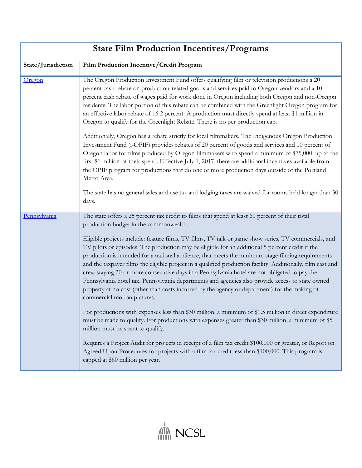| <b>State Film Production Incentives/Programs</b> |                                                                                                                                                                                                                                                                                                                                                                                                                                                                                                                                                                                                                                                                                                                                                                                                                                                                                                                                                                                                                                                                                                                                                                                                                                                                                                                                                                                                                       |
|--------------------------------------------------|-----------------------------------------------------------------------------------------------------------------------------------------------------------------------------------------------------------------------------------------------------------------------------------------------------------------------------------------------------------------------------------------------------------------------------------------------------------------------------------------------------------------------------------------------------------------------------------------------------------------------------------------------------------------------------------------------------------------------------------------------------------------------------------------------------------------------------------------------------------------------------------------------------------------------------------------------------------------------------------------------------------------------------------------------------------------------------------------------------------------------------------------------------------------------------------------------------------------------------------------------------------------------------------------------------------------------------------------------------------------------------------------------------------------------|
| State/Jurisdiction                               | Film Production Incentive/Credit Program                                                                                                                                                                                                                                                                                                                                                                                                                                                                                                                                                                                                                                                                                                                                                                                                                                                                                                                                                                                                                                                                                                                                                                                                                                                                                                                                                                              |
| Oregon                                           | The Oregon Production Investment Fund offers qualifying film or television productions a 20<br>percent cash rebate on production-related goods and services paid to Oregon vendors and a 10<br>percent cash rebate of wages paid for work done in Oregon including both Oregon and non-Oregon<br>residents. The labor portion of this rebate can be combined with the Greenlight Oregon program for<br>an effective labor rebate of 16.2 percent. A production must directly spend at least \$1 million in<br>Oregon to qualify for the Greenlight Rebate. There is no per production cap.<br>Additionally, Oregon has a rebate strictly for local filmmakers. The Indigenous Oregon Production<br>Investment Fund (i-OPIF) provides rebates of 20 percent of goods and services and 10 percent of<br>Oregon labor for films produced by Oregon filmmakers who spend a minimum of \$75,000, up to the<br>first \$1 million of their spend. Effective July 1, 2017, there are additional incentives available from<br>the OPIF program for productions that do one or more production days outside of the Portland<br>Metro Area.                                                                                                                                                                                                                                                                                      |
|                                                  | The state has no general sales and use tax and lodging taxes are waived for rooms held longer than 30<br>days.                                                                                                                                                                                                                                                                                                                                                                                                                                                                                                                                                                                                                                                                                                                                                                                                                                                                                                                                                                                                                                                                                                                                                                                                                                                                                                        |
| Pennsylvania                                     | The state offers a 25 percent tax credit to films that spend at least 60 percent of their total<br>production budget in the commonwealth.<br>Eligible projects include: feature films, TV films, TV talk or game show series, TV commercials, and<br>TV pilots or episodes. The production may be eligible for an additional 5 percent credit if the<br>production is intended for a national audience, that meets the minimum stage filming requirements<br>and the taxpayer films the eligible project in a qualified production facility. Additionally, film cast and<br>crew staying 30 or more consecutive days in a Pennsylvania hotel are not obligated to pay the<br>Pennsylvania hotel tax. Pennsylvania departments and agencies also provide access to state owned<br>property at no cost (other than costs incurred by the agency or department) for the making of<br>commercial motion pictures.<br>For productions with expenses less than \$30 million, a minimum of \$1.5 million in direct expenditure<br>must be made to qualify. For productions with expenses greater than \$30 million, a minimum of \$5<br>million must be spent to qualify.<br>Requires a Project Audit for projects in receipt of a film tax credit \$100,000 or greater, or Report on<br>Agreed Upon Procedures for projects with a film tax credit less than \$100,000. This program is<br>capped at \$60 million per year. |

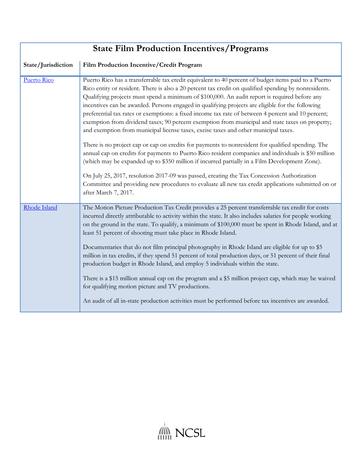| <b>State Film Production Incentives/Programs</b> |                                                                                                                                                                                                                                                                                                                                                                                                                                                                                                                                                                                                                                                                                                                                                                                                                                                                                                                                                                                                                                                                                                                                                                                                                                                              |
|--------------------------------------------------|--------------------------------------------------------------------------------------------------------------------------------------------------------------------------------------------------------------------------------------------------------------------------------------------------------------------------------------------------------------------------------------------------------------------------------------------------------------------------------------------------------------------------------------------------------------------------------------------------------------------------------------------------------------------------------------------------------------------------------------------------------------------------------------------------------------------------------------------------------------------------------------------------------------------------------------------------------------------------------------------------------------------------------------------------------------------------------------------------------------------------------------------------------------------------------------------------------------------------------------------------------------|
| State/Jurisdiction                               | Film Production Incentive/Credit Program                                                                                                                                                                                                                                                                                                                                                                                                                                                                                                                                                                                                                                                                                                                                                                                                                                                                                                                                                                                                                                                                                                                                                                                                                     |
| <b>Puerto Rico</b>                               | Puerto Rico has a transferrable tax credit equivalent to 40 percent of budget items paid to a Puerto<br>Rico entity or resident. There is also a 20 percent tax credit on qualified spending by nonresidents.<br>Qualifying projects must spend a minimum of \$100,000. An audit report is required before any<br>incentives can be awarded. Persons engaged in qualifying projects are eligible for the following<br>preferential tax rates or exemptions: a fixed income tax rate of between 4 percent and 10 percent;<br>exemption from dividend taxes; 90 percent exemption from municipal and state taxes on property;<br>and exemption from municipal license taxes, excise taxes and other municipal taxes.<br>There is no project cap or cap on credits for payments to nonresident for qualified spending. The<br>annual cap on credits for payments to Puerto Rico resident companies and individuals is \$50 million<br>(which may be expanded up to \$350 million if incurred partially in a Film Development Zone).<br>On July 25, 2017, resolution 2017-09 was passed, creating the Tax Concession Authorization<br>Committee and providing new procedures to evaluate all new tax credit applications submitted on or<br>after March 7, 2017. |
| Rhode Island                                     | The Motion Picture Production Tax Credit provides a 25 percent transferrable tax credit for costs<br>incurred directly attributable to activity within the state. It also includes salaries for people working<br>on the ground in the state. To qualify, a minimum of \$100,000 must be spent in Rhode Island, and at<br>least 51 percent of shooting must take place in Rhode Island.<br>Documentaries that do not film principal photography in Rhode Island are eligible for up to \$5<br>million in tax credits, if they spend 51 percent of total production days, or 51 percent of their final<br>production budget in Rhode Island, and employ 5 individuals within the state.<br>There is a \$15 million annual cap on the program and a \$5 million project cap, which may be waived<br>for qualifying motion picture and TV productions.<br>An audit of all in-state production activities must be performed before tax incentives are awarded.                                                                                                                                                                                                                                                                                                   |

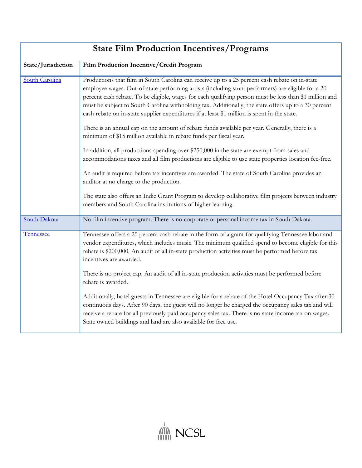| <b>State Film Production Incentives/Programs</b> |                                                                                                                                                                                                                                                                                                                                                                                                                                                                                                                         |
|--------------------------------------------------|-------------------------------------------------------------------------------------------------------------------------------------------------------------------------------------------------------------------------------------------------------------------------------------------------------------------------------------------------------------------------------------------------------------------------------------------------------------------------------------------------------------------------|
| State/Jurisdiction                               | Film Production Incentive/Credit Program                                                                                                                                                                                                                                                                                                                                                                                                                                                                                |
| South Carolina                                   | Productions that film in South Carolina can receive up to a 25 percent cash rebate on in-state<br>employee wages. Out-of-state performing artists (including stunt performers) are eligible for a 20<br>percent cash rebate. To be eligible, wages for each qualifying person must be less than \$1 million and<br>must be subject to South Carolina withholding tax. Additionally, the state offers up to a 30 percent<br>cash rebate on in-state supplier expenditures if at least \$1 million is spent in the state. |
|                                                  | There is an annual cap on the amount of rebate funds available per year. Generally, there is a<br>minimum of \$15 million available in rebate funds per fiscal year.                                                                                                                                                                                                                                                                                                                                                    |
|                                                  | In addition, all productions spending over \$250,000 in the state are exempt from sales and<br>accommodations taxes and all film productions are eligible to use state properties location fee-free.                                                                                                                                                                                                                                                                                                                    |
|                                                  | An audit is required before tax incentives are awarded. The state of South Carolina provides an<br>auditor at no charge to the production.                                                                                                                                                                                                                                                                                                                                                                              |
|                                                  | The state also offers an Indie Grant Program to develop collaborative film projects between industry<br>members and South Carolina institutions of higher learning.                                                                                                                                                                                                                                                                                                                                                     |
| <b>South Dakota</b>                              | No film incentive program. There is no corporate or personal income tax in South Dakota.                                                                                                                                                                                                                                                                                                                                                                                                                                |
| Tennessee                                        | Tennessee offers a 25 percent cash rebate in the form of a grant for qualifying Tennessee labor and<br>vendor expenditures, which includes music. The minimum qualified spend to become eligible for this<br>rebate is \$200,000. An audit of all in-state production activities must be performed before tax<br>incentives are awarded.                                                                                                                                                                                |
|                                                  | There is no project cap. An audit of all in-state production activities must be performed before<br>rebate is awarded.                                                                                                                                                                                                                                                                                                                                                                                                  |
|                                                  | Additionally, hotel guests in Tennessee are eligible for a rebate of the Hotel Occupancy Tax after 30<br>continuous days. After 90 days, the guest will no longer be charged the occupancy sales tax and will<br>receive a rebate for all previously paid occupancy sales tax. There is no state income tax on wages.<br>State owned buildings and land are also available for free use.                                                                                                                                |

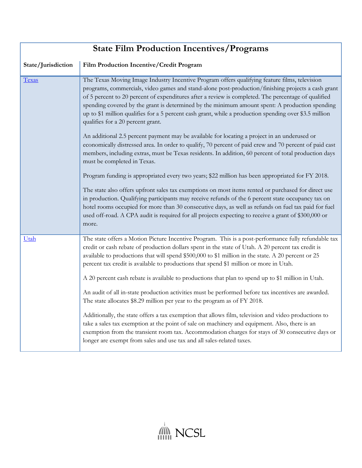| <b>State Film Production Incentives/Programs</b> |                                                                                                                                                                                                                                                                                                                                                                                                                                                                                                                                                                                                                                                                                                                                                                                                                                                                                                                                                                                                                                                                                                                                                                                                                                                                                                                                                                                                                                                        |
|--------------------------------------------------|--------------------------------------------------------------------------------------------------------------------------------------------------------------------------------------------------------------------------------------------------------------------------------------------------------------------------------------------------------------------------------------------------------------------------------------------------------------------------------------------------------------------------------------------------------------------------------------------------------------------------------------------------------------------------------------------------------------------------------------------------------------------------------------------------------------------------------------------------------------------------------------------------------------------------------------------------------------------------------------------------------------------------------------------------------------------------------------------------------------------------------------------------------------------------------------------------------------------------------------------------------------------------------------------------------------------------------------------------------------------------------------------------------------------------------------------------------|
| State/Jurisdiction                               | Film Production Incentive/Credit Program                                                                                                                                                                                                                                                                                                                                                                                                                                                                                                                                                                                                                                                                                                                                                                                                                                                                                                                                                                                                                                                                                                                                                                                                                                                                                                                                                                                                               |
| Texas                                            | The Texas Moving Image Industry Incentive Program offers qualifying feature films, television<br>programs, commercials, video games and stand-alone post-production/finishing projects a cash grant<br>of 5 percent to 20 percent of expenditures after a review is completed. The percentage of qualified<br>spending covered by the grant is determined by the minimum amount spent: A production spending<br>up to \$1 million qualifies for a 5 percent cash grant, while a production spending over \$3.5 million<br>qualifies for a 20 percent grant.<br>An additional 2.5 percent payment may be available for locating a project in an underused or<br>economically distressed area. In order to qualify, 70 percent of paid crew and 70 percent of paid cast<br>members, including extras, must be Texas residents. In addition, 60 percent of total production days<br>must be completed in Texas.<br>Program funding is appropriated every two years; \$22 million has been appropriated for FY 2018.<br>The state also offers upfront sales tax exemptions on most items rented or purchased for direct use<br>in production. Qualifying participants may receive refunds of the 6 percent state occupancy tax on<br>hotel rooms occupied for more than 30 consecutive days, as well as refunds on fuel tax paid for fuel<br>used off-road. A CPA audit is required for all projects expecting to receive a grant of \$300,000 or<br>more. |
| Utah                                             | The state offers a Motion Picture Incentive Program. This is a post-performance fully refundable tax<br>credit or cash rebate of production dollars spent in the state of Utah. A 20 percent tax credit is<br>available to productions that will spend \$500,000 to \$1 million in the state. A 20 percent or 25<br>percent tax credit is available to productions that spend \$1 million or more in Utah.<br>A 20 percent cash rebate is available to productions that plan to spend up to \$1 million in Utah.<br>An audit of all in-state production activities must be performed before tax incentives are awarded.<br>The state allocates \$8.29 million per year to the program as of FY 2018.<br>Additionally, the state offers a tax exemption that allows film, television and video productions to<br>take a sales tax exemption at the point of sale on machinery and equipment. Also, there is an<br>exemption from the transient room tax. Accommodation charges for stays of 30 consecutive days or<br>longer are exempt from sales and use tax and all sales-related taxes.                                                                                                                                                                                                                                                                                                                                                             |

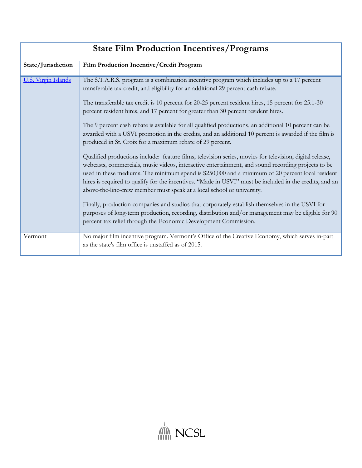| <b>State Film Production Incentives/Programs</b> |                                                                                                          |
|--------------------------------------------------|----------------------------------------------------------------------------------------------------------|
| State/Jurisdiction                               | Film Production Incentive/Credit Program                                                                 |
| <b>U.S. Virgin Islands</b>                       | The S.T.A.R.S. program is a combination incentive program which includes up to a 17 percent              |
|                                                  | transferable tax credit, and eligibility for an additional 29 percent cash rebate.                       |
|                                                  | The transferable tax credit is 10 percent for 20-25 percent resident hires, 15 percent for 25.1-30       |
|                                                  | percent resident hires, and 17 percent for greater than 30 percent resident hires.                       |
|                                                  | The 9 percent cash rebate is available for all qualified productions, an additional 10 percent can be    |
|                                                  | awarded with a USVI promotion in the credits, and an additional 10 percent is awarded if the film is     |
|                                                  | produced in St. Croix for a maximum rebate of 29 percent.                                                |
|                                                  | Qualified productions include: feature films, television series, movies for television, digital release, |
|                                                  | webcasts, commercials, music videos, interactive entertainment, and sound recording projects to be       |
|                                                  | used in these mediums. The minimum spend is \$250,000 and a minimum of 20 percent local resident         |
|                                                  | hires is required to qualify for the incentives. "Made in USVI" must be included in the credits, and an  |
|                                                  | above-the-line-crew member must speak at a local school or university.                                   |
|                                                  | Finally, production companies and studios that corporately establish themselves in the USVI for          |
|                                                  | purposes of long-term production, recording, distribution and/or management may be eligible for 90       |
|                                                  | percent tax relief through the Economic Development Commission.                                          |
| Vermont                                          | No major film incentive program. Vermont's Office of the Creative Economy, which serves in-part          |
|                                                  | as the state's film office is unstaffed as of 2015.                                                      |

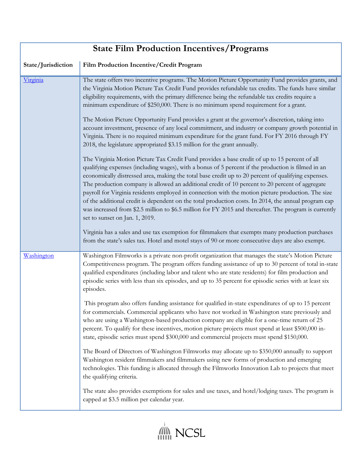| <b>State Film Production Incentives/Programs</b> |                                                                                                                                                                                                                                                                                                                                                                                                                                                                                                                                                                                                                                                                                                                                                                                                                                                                                                                                                                                                                                                                                                                                                                                                                                                                                                                                                                                                                                                                                                                                                                      |
|--------------------------------------------------|----------------------------------------------------------------------------------------------------------------------------------------------------------------------------------------------------------------------------------------------------------------------------------------------------------------------------------------------------------------------------------------------------------------------------------------------------------------------------------------------------------------------------------------------------------------------------------------------------------------------------------------------------------------------------------------------------------------------------------------------------------------------------------------------------------------------------------------------------------------------------------------------------------------------------------------------------------------------------------------------------------------------------------------------------------------------------------------------------------------------------------------------------------------------------------------------------------------------------------------------------------------------------------------------------------------------------------------------------------------------------------------------------------------------------------------------------------------------------------------------------------------------------------------------------------------------|
| State/Jurisdiction                               | Film Production Incentive/Credit Program                                                                                                                                                                                                                                                                                                                                                                                                                                                                                                                                                                                                                                                                                                                                                                                                                                                                                                                                                                                                                                                                                                                                                                                                                                                                                                                                                                                                                                                                                                                             |
| Virginia                                         | The state offers two incentive programs. The Motion Picture Opportunity Fund provides grants, and<br>the Virginia Motion Picture Tax Credit Fund provides refundable tax credits. The funds have similar<br>eligibility requirements, with the primary difference being the refundable tax credits require a<br>minimum expenditure of \$250,000. There is no minimum spend requirement for a grant.<br>The Motion Picture Opportunity Fund provides a grant at the governor's discretion, taking into<br>account investment, presence of any local commitment, and industry or company growth potential in<br>Virginia. There is no required minimum expenditure for the grant fund. For FY 2016 through FY<br>2018, the legislature appropriated \$3.15 million for the grant annually.<br>The Virginia Motion Picture Tax Credit Fund provides a base credit of up to 15 percent of all<br>qualifying expenses (including wages), with a bonus of 5 percent if the production is filmed in an<br>economically distressed area, making the total base credit up to 20 percent of qualifying expenses.<br>The production company is allowed an additional credit of 10 percent to 20 percent of aggregate<br>payroll for Virginia residents employed in connection with the motion picture production. The size<br>of the additional credit is dependent on the total production costs. In 2014, the annual program cap<br>was increased from \$2.5 million to \$6.5 million for FY 2015 and thereafter. The program is currently<br>set to sunset on Jan. 1, 2019. |
|                                                  | Virginia has a sales and use tax exemption for filmmakers that exempts many production purchases<br>from the state's sales tax. Hotel and motel stays of 90 or more consecutive days are also exempt.                                                                                                                                                                                                                                                                                                                                                                                                                                                                                                                                                                                                                                                                                                                                                                                                                                                                                                                                                                                                                                                                                                                                                                                                                                                                                                                                                                |
| Washington                                       | Washington Filmworks is a private non-profit organization that manages the state's Motion Picture<br>Competitiveness program. The program offers funding assistance of up to 30 percent of total in-state<br>qualified expenditures (including labor and talent who are state residents) for film production and<br>episodic series with less than six episodes, and up to 35 percent for episodic series with at least six<br>episodes.                                                                                                                                                                                                                                                                                                                                                                                                                                                                                                                                                                                                                                                                                                                                                                                                                                                                                                                                                                                                                                                                                                                             |
|                                                  | This program also offers funding assistance for qualified in-state expenditures of up to 15 percent<br>for commercials. Commercial applicants who have not worked in Washington state previously and<br>who are using a Washington-based production company are eligible for a one-time return of 25<br>percent. To qualify for these incentives, motion picture projects must spend at least \$500,000 in-<br>state, episodic series must spend \$300,000 and commercial projects must spend \$150,000.                                                                                                                                                                                                                                                                                                                                                                                                                                                                                                                                                                                                                                                                                                                                                                                                                                                                                                                                                                                                                                                             |
|                                                  | The Board of Directors of Washington Filmworks may allocate up to \$350,000 annually to support<br>Washington resident filmmakers and filmmakers using new forms of production and emerging<br>technologies. This funding is allocated through the Filmworks Innovation Lab to projects that meet<br>the qualifying criteria.                                                                                                                                                                                                                                                                                                                                                                                                                                                                                                                                                                                                                                                                                                                                                                                                                                                                                                                                                                                                                                                                                                                                                                                                                                        |
|                                                  | The state also provides exemptions for sales and use taxes, and hotel/lodging taxes. The program is<br>capped at \$3.5 million per calendar year.                                                                                                                                                                                                                                                                                                                                                                                                                                                                                                                                                                                                                                                                                                                                                                                                                                                                                                                                                                                                                                                                                                                                                                                                                                                                                                                                                                                                                    |